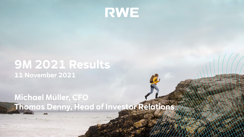

## **9M 2021 Results 11 November 2021**

## **Michael Müller, CFO Thomas Denny, Head of Investor Relations**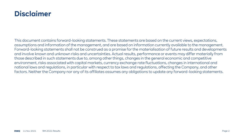### **Disclaimer**

This document contains forward-looking statements. These statements are based on the current views, expectations, assumptions and information of the management, and are based on information currently available to the management. Forward-looking statements shall not be construed as a promise for the materialisation of future results and developments and involve known and unknown risks and uncertainties. Actual results, performance or events may differ materially from those described in such statements due to, among other things, changes in the general economic and competitive environment, risks associated with capital markets, currency exchange rate fluctuations, changes in international and national laws and regulations, in particular with respect to tax laws and regulations, affecting the Company, and other factors. Neither the Company nor any of its affiliates assumes any obligations to update any forward-looking statements.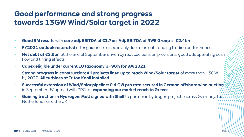### **Good performance and strong progress towards 13GW Wind/Solar target in 2022**

- **Good 9M results** with **core adj. EBITDA of €1.7bn**. **Adj. EBITDA of RWE Group** at **€2.4bn**
- **FY2021 outlook reiterated** after guidance raised in July due to an outstanding trading performance
- **Net debt at €2.9bn** at the end of September driven by reduced pension provisions, good adj. operating cash flow and timing effects
- **Capex eligible under current EU taxonomy** is **~90% for 9M 2021**
- **Strong progress in construction: All projects lined up to reach Wind/Solar target** of more than 13GW by 2022. **All turbines at Triton Knoll installed**
- **Successful extension of Wind/Solar pipeline: 0.4 GW pro rata secured in German offshore wind auction** in September. JV agreed with PPC for **expanding our market reach to Greece**
- **Gaining traction in Hydrogen: MoU signed with Shell** to partner in hydrogen projects across Germany, the Netherlands and the UK

Page B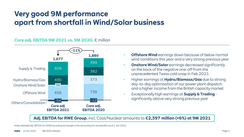### **Very good 9M performance apart from shortfall in Wind/Solar business**

#### **Core adj. EBITDA 9M 2021 vs. 9M 2020,** € million



- **Offshore Wind** earnings down because of below normal wind conditions this year and a very strong previous year
- **Onshore Wind/Solar** earnings decreased significantly on the back of the negative one-off from the unprecedented Texas cold snap in Feb 2021
- Higher earnings at **Hydro/Biomass/Gas** due to strong day-to-day optimisation of our power plant dispatch and a higher income from the British capacity market
- Exceptionally high earnings at **Supply & Trading**  significantly above very strong previous year

**Adj. EBITDA for RWE Group**, incl. Coal/Nuclear amounts to **€2,397 million (+6%) at 9M 2021**

Note: restated adj. EBITDA for 2020 according to change in the accounting for tax benefits as of 1 Jan 2021.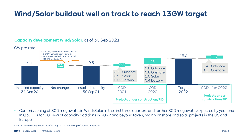### **Wind/Solar buildout well on track to reach 13GW target**

#### **Capacity development Wind/Solar,** as of 30 Sep 2021



- Commissioning of 800 megawatts in Wind/Solar in the first three quarters and further 800 megawatts expected by year end
- In Q3, FIDs for 500MW of capacity additions in 2022 and beyond taken, mainly onshore and solar projects in the US and Europe

Note: All information pro rata. As of 30 Sep 2021. | Rounding differences may occur.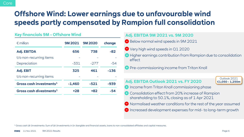### **Offshore Wind: Lower earnings due to unfavourable wind speeds partly compensated by Rampion full consolidation**

#### **Key financials 9M - Offshore Wind**

| $\epsilon$ million                  | <b>9M2021</b> | <b>9M2020</b> | change |
|-------------------------------------|---------------|---------------|--------|
| <b>Adj. EBITDA</b>                  | 656           | 738           | $-82$  |
| t/o non-recurring items             |               |               |        |
| Depreciation                        | -331          | $-277$        | $-54$  |
| Adj. EBIT                           | 325           | 461           | $-136$ |
| t/o non-recurring items             |               |               |        |
| Gross cash investments <sup>1</sup> | $-1.460$      | $-521$        | -939   |
| Gross cash divestments <sup>1</sup> | $+28$         | +82           | -54    |

#### **Adj. EBITDA 9M 2021 vs. 9M 2020**

- Below normal wind speeds in 9M 2021
- Very high wind speeds in Q1 2020
- Higher earnings contribution from Rampion due to consolidation effect
- **Pre-commissioning income from Triton Knoll**

### **Adj. EBITDA Outlook 2021 vs. FY 2020**

Outlook 2021 **€1,050 – 1,250m**

- **O** Income from Triton Knoll commissioning phase
- **Consolidation effect from 20% increase of Rampion** shareholding to 50.1%, closing as of 1 Apr 2021
- $\bigcirc$  Normalised weather conditions for the rest of the year assumed
- $\Box$  Increased development expenses for mid- to long-term growth

<sup>1</sup> Gross cash (di-)investments: Sum of (di-)investments in (in-)tangible and financial assets, loans to non-consolidated affiliates and capital measures.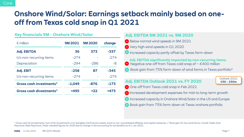### **Onshore Wind/Solar: Earnings setback mainly based on oneoff from Texas cold snap in Q1 2021**

|  | <b>Key financials 9M - Onshore Wind/Solar</b> |
|--|-----------------------------------------------|
|--|-----------------------------------------------|

| $\epsilon$ million                  | <b>9M2021</b> | <b>9M2020</b> | change |
|-------------------------------------|---------------|---------------|--------|
| <b>Adj. EBITDA</b>                  | 36            | 373           | -337   |
| t/o non-recurring items             | $-274$        |               | $-274$ |
| Depreciation                        | $-294$        | $-286$        | -8     |
| Adj. EBIT                           | $-258$        | 87            | -345   |
| t/o non-recurring items             | $-274$        |               | $-274$ |
| Gross cash investments <sup>1</sup> | $-1.049$      | $-876$        | -173   |
| Gross cash divestments <sup>1</sup> | +495          | $+22$         | +473   |

#### **Adj. EBITDA 9M 2021 vs. 9M 2020**

- Below normal wind speeds in 9M 2021
- **■** Very high wind speeds in Q1 2020
- **Increased capacity partly offset by Texas farm-down**

**Adj. EBITDA significantly impacted by non-recurring items:**

- Negative one-off from Texas cold snap of ~-€400 million
- Book gain from 75% farm-down of wind farms in Texas portfolio<sup>2</sup>

### **Adj. EBITDA Outlook 2021 vs. FY 2020**

Outlook 2021 **€50 – 250m**

- One-off from Texas cold snap in Feb 2021
- Increased development expenses for mid-to long-term growth
- **Increased capacity in Onshore Wind/Solar in the US and Europe**
- Book gain from 75% farm-down at Texas onshore portfolio

<sup>1</sup> Gross cash (di-)investments: Sum of (di-)investments in (in-)tangible and financial assets, loans to non-consolidated affiliates and capital measures. | <sup>2</sup> Book gain for four wind farms; Cranell, Stella, East Raymond, West Raymond. | Note: restated figures for 2020 due to change in the accounting for tax benefits as of 1 Jan 2021.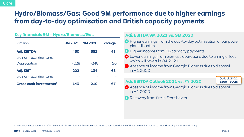### **Hydro/Biomass/Gas: Good 9M performance due to higher earnings from day-to-day optimisation and British capacity payments**

#### **Key financials 9M - Hydro/Biomass/Gas Adj. EBITDA 9M 2021 vs. 9M 2020**

| $\epsilon$ million                  | 9M 2021 | <b>9M2020</b> | change |
|-------------------------------------|---------|---------------|--------|
| <b>Adj. EBITDA</b>                  | 430     | 382           | 48     |
| t/o non-recurring items             |         |               |        |
| Depreciation                        | $-228$  | $-248$        | 20     |
| Adj. EBIT                           | 202     | 134           | 68     |
| t/o non-recurring items             |         |               |        |
| Gross cash investments <sup>1</sup> | -143    | -210          |        |

- **Higher earnings from the day-to-day optimisation of our power**  $plant$  dispatch
- **Higher income from GB capacity payments**
- **■** Lower earnings from biomass operations due to timing effect which will revert in 04 2021
- Absence of income from Georgia Biomass due to disposal in H1 2020

#### **Adj. EBITDA Outlook 2021 vs. FY 2020**

Outlook 2021 **€500 – 600m**

- Absence of income from Georgia Biomass due to disposal in H1 2020
- Recovery from fire in Eemshaven

<sup>1</sup> Gross cash investments: Sum of investments in (in-)tangible and financial assets, loans to non-consolidated affiliates and capital measures. | Note: including 37.9% stake in Kelag.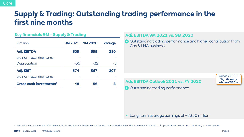### **Supply & Trading: Outstanding trading performance in the first nine months**

#### **Key financials 9M - Supply & Trading**

| $\epsilon$ million                  | <b>9M 2021</b> | <b>9M2020</b> | change |
|-------------------------------------|----------------|---------------|--------|
| <b>Adj. EBITDA</b>                  | 609            | 399           | 210    |
| t/o non-recurring items             |                |               |        |
| Depreciation                        | $-35$          | $-32$         | $-3$   |
| <b>Adj. EBIT</b>                    | 574            | 367           | 207    |
| t/o non-recurring items             |                |               |        |
| Gross cash investments <sup>1</sup> | -48            | -56           | 8      |

#### **Adj. EBITDA 9M 2021 vs. 9M 2020**

**Outstanding trading performance and higher contribution from** Gas & LNG business

### **Adj. EBITDA Outlook 2021 vs. FY 2020**

Outlook 2021<sup>2</sup> **Significantly above €350m**

 $\rightarrow$  Outstanding trading performance

• Long-term average earnings of  $\sim \epsilon$ 250 million

<sup>1</sup> Gross cash investments: Sum of investments in (in-)tangible and financial assets, loans to non-consolidated affiliates and capital measures. | <sup>2</sup> Update on outlook Jul 2021. Previously €150m – 350m.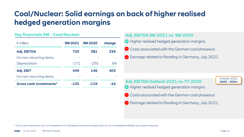### **Coal/Nuclear: Solid earnings on back of higher realised hedged generation margins**

#### **Key financials 9M - Coal/Nuclear**

| $\epsilon$ million                  | <b>9M2021</b> | <b>9M2020</b> | change |
|-------------------------------------|---------------|---------------|--------|
| <b>Adj. EBITDA</b>                  | 720           | 381           | 339    |
| t/o non-recurring items             |               |               |        |
| Depreciation                        | $-171$        | $-235$        | 64     |
| Adj. EBIT                           | 549           | 146           | 403    |
| t/o non-recurring items             |               |               |        |
| Gross cash investments <sup>1</sup> | -135          | $-119$        | -16    |

#### **Adj. EBITDA 9M 2021 vs. 9M 2020**

- **9** Higher realised hedged generation margins
- Costs associated with the German coal phaseout
- Damage related to flooding in Germany, July 2021

### **Adj. EBITDA Outlook 2021 vs. FY 2020**

Outlook 2021 **€800 – 900m**

- **Higher realised hedged generation margins**
- Costs associated with the German coal phaseout
- **Damage related to flooding in Germany, July 2021**

<sup>1</sup> Gross cash investments: Sum of investments in (in-)tangible and financial assets, loans to non-consolidated affiliates and capital measures.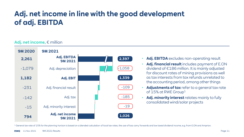### **Adj. net income in line with the good development of adj. EBITDA**

#### **Adj. net income,** € million



- **Adj. EBITDA** excludes non-operating result
- **Adj. financial result** includes payment of E.ON dividend of €186 million. It is mainly adjusted for discount rates of mining provisions as well as tax interests from tax refunds unrelated to the accounting period, among other things
- **Adjustments of tax** refer to a general tax rate of 15% at RWE Group<sup>1</sup>
- Adj. minority interest relates mainly to fully consolidated wind/solar projects

<sup>1</sup> General tax rate of 15% for the planning horizon is based on a blended calculation of local tax rates, the use of loss carry forwards and low taxed dividend income, e.g. from E.ON and Amprion.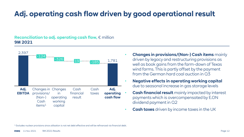## **Adj. operating cash flow driven by good operational result**

#### **Reconciliation to adj. operating cash flow,** € million **9M 2021**



- **Changes in provisions/(Non-) Cash items** mainly driven by legacy and restructuring provisions as well as book gains from the farm-down of Texas wind farms. This is partly offset by the payment from the German hard coal auction in Q3
- **Negative effects in operating working capital**  due to seasonal increase in gas storage levels
- **Cash financial result** mainly impacted by interest payments which is overcompensated by E.ON dividend payment in Q2
- **Cash taxes** driven by income taxes in the UK

<sup>1</sup> Excludes nuclear provisions since utilisation is not net debt effective and will be refinanced via financial debt.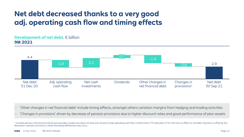### **Net debt decreased thanks to a very good adj. operating cash flow and timing effects**

#### **Development of net debt.** € billion **9M 2021**



- 'Other changes in net financial debt' include timing effects, amongst others variation margins from hedging and trading activities
- 'Changes in provisions' driven by decrease of pension provisions due to higher discount rates and good performance of plan assets

<sup>1</sup> Includes pension and wind provisions but excludes nuclear provisions as they are not part of adj. operating cash flow. Furthermore, CTA allocation of €1.1bn has no effect on net debt. Payment is offset by the decrease in pension provisions. | Note: Rounding differences may occur.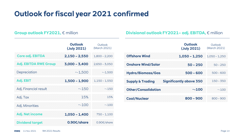### **Outlook for fiscal year 2021 confirmed**

|                              | <b>Outlook</b><br>(July 2021) | Outlook<br>(March 2021) |                           |
|------------------------------|-------------------------------|-------------------------|---------------------------|
| Core adj. EBITDA             | $2,150 - 2,550$               | $1,800 - 2,200$         | <b>Offshore Wind</b>      |
| <b>Adj. EBITDA RWE Group</b> | $3,000 - 3,400$               | $2,650 - 3,050$         | <b>Onshore Wind</b>       |
| Depreciation                 | $~-1,500$                     | $-1,500$                | <b>Hydro/Biomas</b>       |
| Adj. EBIT                    | $1,500 - 1,900$               | $1,150 - 1,550$         | <b>Supply &amp; Tradi</b> |
| Adj. Financial result        | $~-150$                       | $~-150$                 | <b>Other/Consoli</b>      |
| Adj. Tax                     | 15%                           | 15%                     | <b>Coal/Nuclear</b>       |
| Adj. Minorities              | ~100                          | $~-100$                 |                           |
| Adj. Net income              | $1,050 - 1,400$               | $750 - 1,100$           |                           |
| <b>Dividend target</b>       | $0.90\text{E/s}$ hare         | 0.90€/share             |                           |

#### **Group outlook FY2021,** € million **Divisional outlook FY2021– adj. EBITDA,** € million

|                             | <b>Outlook</b><br>(July 2021)  | Outlook<br>(March 2021) |
|-----------------------------|--------------------------------|-------------------------|
| <b>Offshore Wind</b>        | $1,050 - 1,250$                | 1.050 - 1.250           |
| <b>Onshore Wind/Solar</b>   | $50 - 250$                     | $50 - 250$              |
| <b>Hydro/Biomass/Gas</b>    | $500 - 600$                    | $500 - 600$             |
| <b>Supply &amp; Trading</b> | <b>Significantly above 350</b> | $150 - 350$             |
| <b>Other/Consolidation</b>  | ~100                           | ~100                    |
| <b>Coal/Nuclear</b>         | $800 - 900$                    | $800 - 900$             |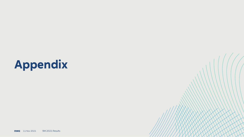# **Appendix**

**RWE** 11 Nov 2021 9M 2021 Results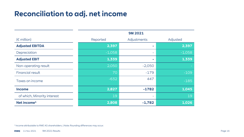### **Reconciliation to adj. net income**

|                             | <b>9M2021</b> |             |          |
|-----------------------------|---------------|-------------|----------|
| $(E \text{ million})$       | Reported      | Adjustments | Adjusted |
| <b>Adjusted EBITDA</b>      | 2,397         | ٠           | 2,397    |
| Depreciation                | $-1,058$      |             | $-1,058$ |
| <b>Adjusted EBIT</b>        | 1,339         |             | 1,339    |
| Non-operating result        | 2,050         | $-2,050$    |          |
| <b>Financial result</b>     | 70            | $-179$      | $-109$   |
| Taxes on income             | $-632$        | 447         | $-185$   |
| <b>Income</b>               | 2,827         | $-1782$     | 1,045    |
| of which, Minority interest | 19            | ۰           | 19       |
| Net income <sup>1</sup>     | 2,808         | $-1,782$    | 1,026    |

<sup>1</sup> Income attributable to RWE AG shareholders. | Note: Rounding differences may occur.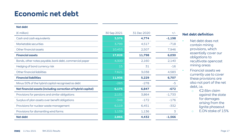### **Economic net debt**

#### **Net debt**

| $(\epsilon$ million)                                          | 30 Sep 2021 | 31 Dec 2020 | $+/-$    |
|---------------------------------------------------------------|-------------|-------------|----------|
| Cash and cash equivalents                                     | 3,576       | 4,774       | $-1,198$ |
| Marketable securities                                         | 3,799       | 4,517       | $-718$   |
| Other financial assets                                        | 10,453      | 2,507       | 7,946    |
| <b>Financial assets</b>                                       | 17,828      | 11,798      | 6,030    |
| Bonds, other notes payable, bank debt, commercial paper       | 4,300       | 2,160       | 2,140    |
| Hedging of bond currency risk                                 | 15          | 31          | $-16$    |
| Other financial liabilities                                   | 7,621       | 3,038       | 4,583    |
| <b>Financial liabilities</b>                                  | 11,936      | 5,229       | 6,707    |
| Minus 50% of the hybrid capital recognised as debt            | $-283$      | $-278$      | $-5$     |
| Net financial assets (including correction of hybrid capital) | 6,175       | 6,847       | $-672$   |
| Provisions for pensions and similar obligations               | 2,131       | 3,864       | $-1,733$ |
| Surplus of plan assets over benefit obligations               | $-348$      | $-172$      | $-176$   |
| Provisions for nuclear waste management                       | 6,119       | 6,451       | $-332$   |
| Provisions for dismantling wind farms                         | 1,139       | 1,136       | 3        |
| <b>Net debt</b>                                               | 2,866       | 4,432       | $-1,566$ |

#### **Net debt definition**

- Net debt does not contain mining provisions, which essentially cover our obligations to recultivate opencast mining areas
- Financial assets we currently use to cover these provisions are also not part of the net debt, i.e.
	- o €2.6bn claim against the state for damages arising from the lignite phaseout
	- o E.ON stake of 15%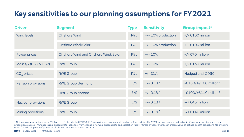## **Key sensitivities to our planning assumptions for FY2021**

| <b>Driver</b>        | <b>Segment</b>                       | <b>Type</b>    | <b>Sensitivity</b>       | Group impact <sup>1</sup>              |
|----------------------|--------------------------------------|----------------|--------------------------|----------------------------------------|
| <b>Wind levels</b>   | Offshore Wind                        | <b>P&amp;L</b> | +/- 10% production       | $+/- \text{\textsterling}160$ million  |
|                      | <b>Onshore Wind/Solar</b>            | <b>P&amp;L</b> | +/- 10% production       | $+/- \text{\textsterling}100$ million  |
| Power prices         | Offshore Wind and Onshore Wind/Solar | <b>P&amp;L</b> | $+/- 10%$                | +/- $\epsilon$ 70 million <sup>2</sup> |
| Main f/x (USD & GBP) | <b>RWE Group</b>                     | <b>P&amp;L</b> | $+/- 10%$                | $+/- \epsilon$ 130 million             |
| $CO2$ prices         | <b>RWE Group</b>                     | <b>P&amp;L</b> | $+/- €1/t$               | Hedged until 2030                      |
| Pension provisions   | <b>RWE Group Germany</b>             | B/S            | $+/- 0.1\%$ <sup>3</sup> | -€160/+€180 million <sup>4</sup>       |
|                      | <b>RWE Group abroad</b>              | B/S            | $+/- 0.1\%$ <sup>3</sup> | - $£100/+£110$ million <sup>4</sup>    |
| Nuclear provisions   | <b>RWE Group</b>                     | B/S            | $+/- 0.1\%$ <sup>3</sup> | $-$ /+ $€45$ million                   |
| Mining provisions    | <b>RWE Group</b>                     | B/S            | $+/- 0.1\%$ <sup>3</sup> | $-$ /+ $£140$ million                  |

<sup>1</sup>All figures are rounded numbers. P&L figures refer to adjusted EBITDA. | <sup>2</sup> Earnings impact on merchant position before hedging. For 2021 we have already hedged a significant amount of our merchant production volumes. | <sup>3</sup> Change in real discount rate (net effect from change in nominal discount rate and escalation rate). | <sup>4</sup> Gross effect of changes in present value of defined benefit obligations. No offsetting effect from development of plan assets included. | Note: as of end of Dec 2020.

**RWE** 11 Nov 2021 9M 2021 Results